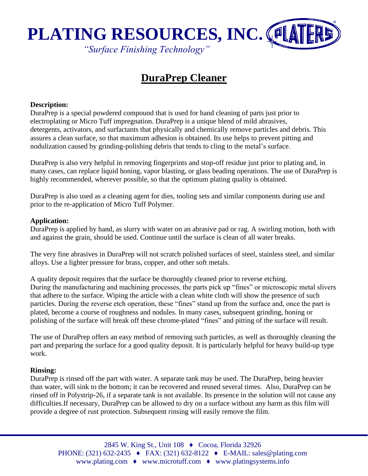

# **DuraPrep Cleaner**

### **Description:**

DuraPrep is a special powdered compound that is used for hand cleaning of parts just prior to electroplating or Micro Tuff impregnation. DuraPrep is a unique blend of mild abrasives, detergents, activators, and surfactants that physically and chemically remove particles and debris. This assures a clean surface, so that maximum adhesion is obtained. Its use helps to prevent pitting and nodulization caused by grinding-polishing debris that tends to cling to the metal's surface.

DuraPrep is also very helpful in removing fingerprints and stop-off residue just prior to plating and, in many cases, can replace liquid honing, vapor blasting, or glass beading operations. The use of DuraPrep is highly recommended, wherever possible, so that the optimum plating quality is obtained.

DuraPrep is also used as a cleaning agent for dies, tooling sets and similar components during use and prior to the re-application of Micro Tuff Polymer.

#### **Application:**

DuraPrep is applied by hand, as slurry with water on an abrasive pad or rag. A swirling motion, both with and against the grain, should be used. Continue until the surface is clean of all water breaks.

The very fine abrasives in DuraPrep will not scratch polished surfaces of steel, stainless steel, and similar alloys. Use a lighter pressure for brass, copper, and other soft metals.

A quality deposit requires that the surface be thoroughly cleaned prior to reverse etching. During the manufacturing and machining processes, the parts pick up "fines" or microscopic metal slivers that adhere to the surface. Wiping the article with a clean white cloth will show the presence of such particles. During the reverse etch operation, these "fines" stand up from the surface and, once the part is plated, become a course of roughness and nodules. In many cases, subsequent grinding, honing or polishing of the surface will break off these chrome-plated "fines" and pitting of the surface will result.

The use of DuraPrep offers an easy method of removing such particles, as well as thoroughly cleaning the part and preparing the surface for a good quality deposit. It is particularly helpful for heavy build-up type work.

#### **Rinsing:**

DuraPrep is rinsed off the part with water. A separate tank may be used. The DuraPrep, being heavier than water, will sink to the bottom; it can be recovered and reused several times. Also, DuraPrep can be rinsed off in Polystrip-26, if a separate tank is not available. Its presence in the solution will not cause any difficulties.If necessary, DuraPrep can be allowed to dry on a surface without any harm as this film will provide a degree of rust protection. Subsequent rinsing will easily remove the film.